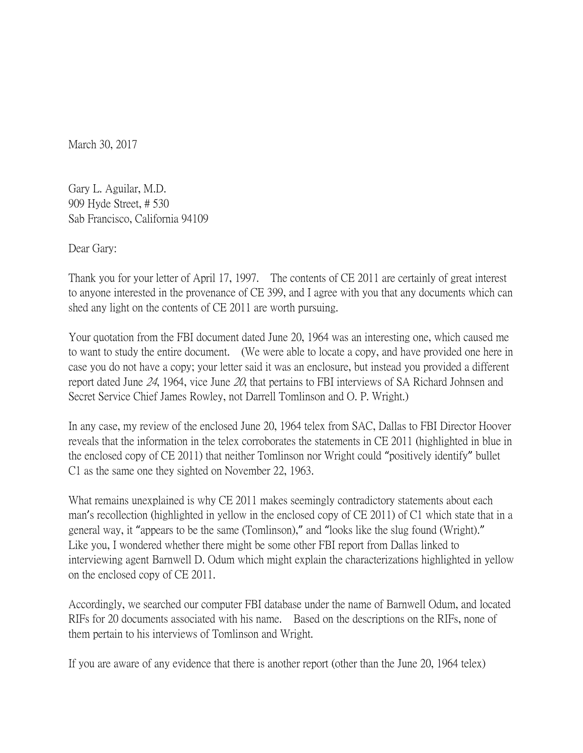March 30, 2017

Gary L. Aguilar, M.D. 909 Hyde Street, # 530 Sab Francisco, California 94109

Dear Gary:

Thank you for your letter of April 17, 1997. The contents of CE 2011 are certainly of great interest to anyone interested in the provenance of CE 399, and I agree with you that any documents which can shed any light on the contents of CE 2011 are worth pursuing.

Your quotation from the FBI document dated June 20, 1964 was an interesting one, which caused me to want to study the entire document. (We were able to locate a copy, and have provided one here in case you do not have a copy; your letter said it was an enclosure, but instead you provided a different report dated June 24, 1964, vice June 20, that pertains to FBI interviews of SA Richard Johnsen and Secret Service Chief James Rowley, not Darrell Tomlinson and O. P. Wright.)

In any case, my review of the enclosed June 20, 1964 telex from SAC, Dallas to FBI Director Hoover reveals that the information in the telex corroborates the statements in CE 2011 (highlighted in blue in the enclosed copy of CE 2011) that neither Tomlinson nor Wright could "positively identify" bullet C1 as the same one they sighted on November 22, 1963.

What remains unexplained is why CE 2011 makes seemingly contradictory statements about each man's recollection (highlighted in yellow in the enclosed copy of CE 2011) of C1 which state that in a general way, it "appears to be the same (Tomlinson)," and "looks like the slug found (Wright)." Like you, I wondered whether there might be some other FBI report from Dallas linked to interviewing agent Barnwell D. Odum which might explain the characterizations highlighted in yellow on the enclosed copy of CE 2011.

Accordingly, we searched our computer FBI database under the name of Barnwell Odum, and located RIFs for 20 documents associated with his name. Based on the descriptions on the RIFs, none of them pertain to his interviews of Tomlinson and Wright.

If you are aware of any evidence that there is another report (other than the June 20, 1964 telex)